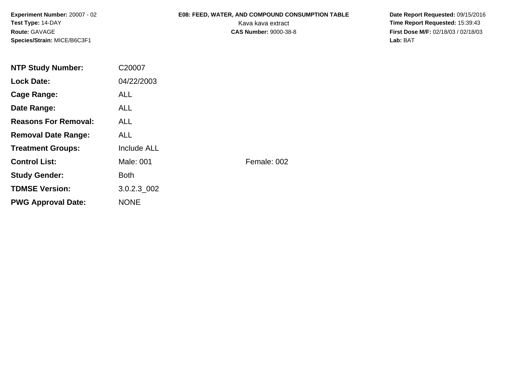# **E08: FEED, WATER, AND COMPOUND CONSUMPTION TABLE**

 **Date Report Requested:** 09/15/2016 Kava kava extract **Time Report Requested:** 15:39:43<br>**CAS Number:** 9000-38-8 **Time Report Requested:** 15:39:43 **First Dose M/F:** 02/18/03 / 02/18/03 Lab: BAT **Lab:** BAT

| <b>NTP Study Number:</b>    | C20007      |             |
|-----------------------------|-------------|-------------|
| <b>Lock Date:</b>           | 04/22/2003  |             |
| Cage Range:                 | <b>ALL</b>  |             |
| Date Range:                 | ALL.        |             |
| <b>Reasons For Removal:</b> | ALL.        |             |
| <b>Removal Date Range:</b>  | ALL.        |             |
| <b>Treatment Groups:</b>    | Include ALL |             |
| <b>Control List:</b>        | Male: 001   | Female: 002 |
| <b>Study Gender:</b>        | <b>Both</b> |             |
| <b>TDMSE Version:</b>       | 3.0.2.3 002 |             |
| <b>PWG Approval Date:</b>   | <b>NONE</b> |             |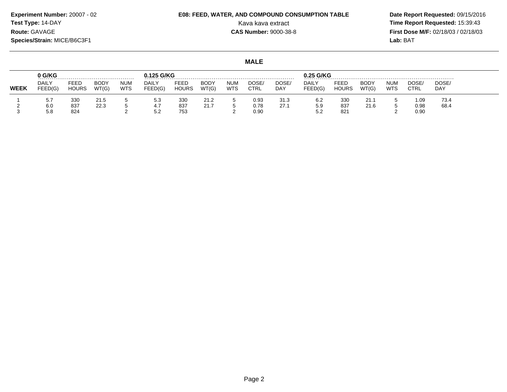# **E08: FEED, WATER, AND COMPOUND CONSUMPTION TABLE**

 **Date Report Requested:** 09/15/2016 Kava kava extract **Time Report Requested:** 15:39:43<br>**CAS Number:** 9000-38-8 **Time Report Requested:** 15:39:43 **First Dose M/F:** 02/18/03 / 02/18/03 Lab: BAT **Lab:** BAT

**MALE**

|      | 0 G/KG                  |                      |                      |                          | G/KG             |                      |                      |                          |               |              | $0.25$ G/KG             |                      |                      |                          |                     |              |
|------|-------------------------|----------------------|----------------------|--------------------------|------------------|----------------------|----------------------|--------------------------|---------------|--------------|-------------------------|----------------------|----------------------|--------------------------|---------------------|--------------|
| WEEK | <b>DAILY</b><br>FEED(G) | FEED<br><b>HOURS</b> | <b>BODY</b><br>WT(G) | <b>NUM</b><br><b>WTS</b> | DAILY<br>FEED(G) | FEED<br><b>HOURS</b> | <b>BODY</b><br>WT(G) | <b>NUM</b><br><b>WTS</b> | DOSE/<br>CTRL | DOSE/<br>DAY | <b>DAILY</b><br>FEED(G) | FEED<br><b>HOURS</b> | <b>BODY</b><br>WT(G, | <b>NUM</b><br><b>WTS</b> | DOSE<br><b>CTRL</b> | DOSE/<br>DAY |
|      | 5.7                     | 330                  | 21.5                 |                          | 5.3              | 330                  | 21.2                 |                          | 0.93          | 31.3         | 6.2                     | 330                  | 21.1                 |                          | 1.09                | 73.4         |
|      | 6.0<br>5.8              | 837<br>824           | 22.3                 |                          | 4.7<br>5.2       | 837<br>753           | 21.7                 |                          | 0.78<br>0.90  | 27.1         | 5.9<br>ے.ر              | 837<br>821           | 21.6                 |                          | 0.98<br>0.90        | 68.4         |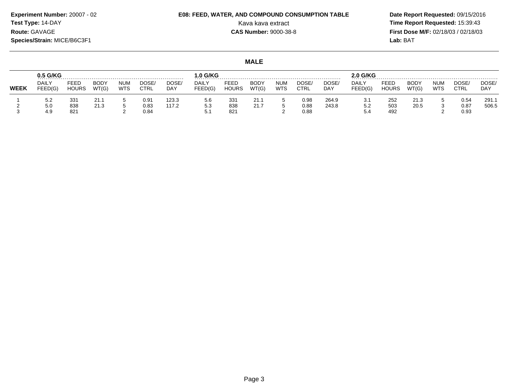# **E08: FEED, WATER, AND COMPOUND CONSUMPTION TABLE**

 **Date Report Requested:** 09/15/2016 Kava kava extract **Time Report Requested:** 15:39:43<br>**CAS Number:** 9000-38-8 **Time Report Requested:** 15:39:43 **First Dose M/F:** 02/18/03 / 02/18/03 Lab: BAT **Lab:** BAT

**MALE**

|             | 0.5 G/KG                |                      |                      |                   |                  |              | .0 G/KG          |                      |               |                   |               |              | 2.0 G/KG                |                      |               |            |               |                    |
|-------------|-------------------------|----------------------|----------------------|-------------------|------------------|--------------|------------------|----------------------|---------------|-------------------|---------------|--------------|-------------------------|----------------------|---------------|------------|---------------|--------------------|
| <b>WEEK</b> | <b>DAILY</b><br>FEED(G) | FEED<br><b>HOURS</b> | <b>BODY</b><br>WT(G) | <b>NUM</b><br>WTS | DOSE/<br>CTRL    | DOSE/<br>DAY | DAILY<br>FEED(G) | FEED<br><b>HOURS</b> | BODY<br>WT(G) | NUM<br><b>WTS</b> | DOSE.<br>CTRL | DOSE/<br>DAY | <b>DAILY</b><br>FEED(G) | FEED<br><b>HOURS</b> | BODY<br>WT(G) | NUM<br>WTS | DOSE.<br>CTRL | DOSE<br><b>DAY</b> |
|             | 5.2                     | 33 <sup>′</sup>      | 21.1                 |                   | 0.9 <sup>4</sup> | 123.3        | 5.6              | 331                  | 21.1          |                   | 0.98          | 264.9        | 3.1                     | 252                  | 21.3          |            | 0.54          | 291.7              |
|             | 5.0<br>4.9              | 838<br>821           | 21.3                 |                   | 0.83<br>0.84     | 117.2        | 5.3<br>5.1       | 838<br>821           | 21.7          |                   | 0.88<br>0.88  | 243.8        | 5.2<br>5.4              | 503<br>492           | 20.5          |            | 0.87<br>0.93  | 506.5              |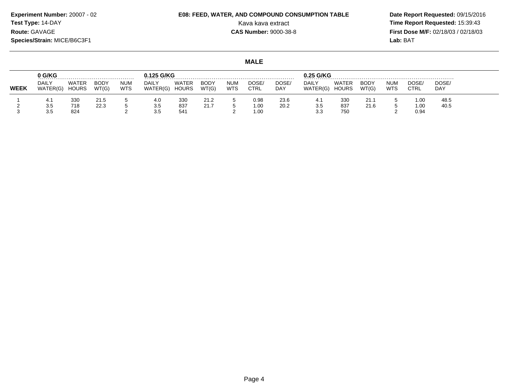**Experiment Number:** 20007 - 02**Test Type:** 14-DAY**Route:** GAVAGE

#### **Species/Strain:** MICE/B6C3F1

 **Date Report Requested:** 09/15/2016 Kava kava extract **Time Report Requested:** 15:39:43<br>**CAS Number:** 9000-38-8 **Time Report Requested:** 15:39:43 **First Dose M/F:** 02/18/03 / 02/18/03 Lab: BAT **Lab:** BAT

#### **MALE**

|             | 0 G/KG            |                       | 0.125 G/KG           |                          |                   |                              |               |                   | 0.25 G/KG     |              |                          |                |                      |                          |              |              |
|-------------|-------------------|-----------------------|----------------------|--------------------------|-------------------|------------------------------|---------------|-------------------|---------------|--------------|--------------------------|----------------|----------------------|--------------------------|--------------|--------------|
| <b>WEEK</b> | DAILY<br>WATER(G) | WATER<br><b>HOURS</b> | <b>BODY</b><br>WT(G) | <b>NUM</b><br><b>WTS</b> | DAILY<br>WATER(G) | <b>WATER</b><br><b>HOURS</b> | BODY<br>WT(G) | <b>NUM</b><br>WTS | DOSE/<br>CTRL | DOSE/<br>DAY | <b>DAILY</b><br>WATER(G) | WATER<br>HOURS | <b>BODY</b><br>WT(G) | <b>NUM</b><br><b>WTS</b> | DOSE<br>CTRL | DOSE/<br>DAY |
|             | 4.1               | 330                   | 21.5                 |                          | 4.0               | 330                          | 21.2          |                   | 0.98          | 23.6         | -4. T                    | 330            | 21.1                 |                          | 1.00         | 48.5         |
|             | 3.5<br>3.5        | 718<br>824            | 22.3                 |                          | 3.5<br>3.5        | 837<br>541                   | 21.7          |                   | 00.1<br>1.00  | 20.2         | 3.5<br>วว<br>.აა         | 837<br>750     | 21.6                 |                          | 1.00<br>0.94 | 40.5         |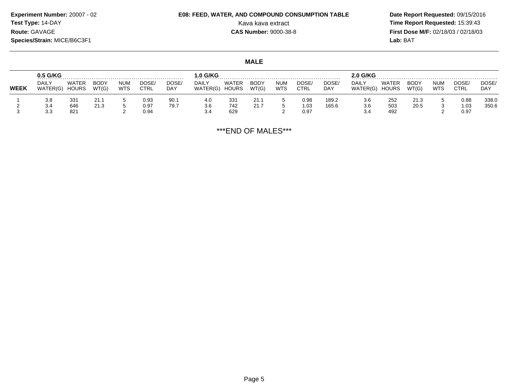# **E08: FEED, WATER, AND COMPOUND CONSUMPTION TABLE**

 **Date Report Requested:** 09/15/2016 Kava kava extract **Time Report Requested:** 15:39:43<br>**CAS Number:** 9000-38-8 **Time Report Requested:** 15:39:43 **First Dose M/F:** 02/18/03 / 02/18/03<br>Lab: BAT **Lab:** BAT

#### **MALE**

|      | 0.5 G/KG                 |                       |                      |                   |                      |              | $.0$ G/KG                |                       |                      |                   |                      | .              | .o G/KG           |                       |               |                   |               |                    |
|------|--------------------------|-----------------------|----------------------|-------------------|----------------------|--------------|--------------------------|-----------------------|----------------------|-------------------|----------------------|----------------|-------------------|-----------------------|---------------|-------------------|---------------|--------------------|
| WEEK | <b>DAILY</b><br>WATER(G) | WATER<br><b>HOURS</b> | <b>BODY</b><br>WT(G) | NUM<br><b>WTS</b> | DOSE/<br><b>CTRL</b> | DOSE/<br>DAY | <b>DAILY</b><br>WATER(G) | WATER<br><b>HOURS</b> | <b>BODY</b><br>WT(G) | <b>NUM</b><br>WTS | DOSE/<br><b>CTRL</b> | DOSE/<br>DAY   | DAILY<br>WATER(G) | WATER<br><b>HOURS</b> | BODY<br>WT(G) | num<br><b>WTS</b> | DOSE.<br>CTRL | DOSE<br><b>DAY</b> |
|      | 3.8<br>3.4               | 331<br>646            | 21.3                 |                   | 0.93<br>0.97         | 90.1<br>79.7 | 4.0<br>3.6               | 331<br>742            | 21.1<br>21.7         |                   | 0.98<br>1.03         | 189.2<br>165.6 | 3.6<br>3.6        | 252<br>503            | 21.3<br>20.5  |                   | 0.88<br>1.03  | 338.0<br>350.6     |
|      | 3.3                      | 821                   |                      |                   | 0.94                 |              | 3.4                      | 629                   |                      |                   | 0.97                 |                | 3.4               | 492                   |               |                   | 0.97          |                    |

\*\*\*END OF MALES\*\*\*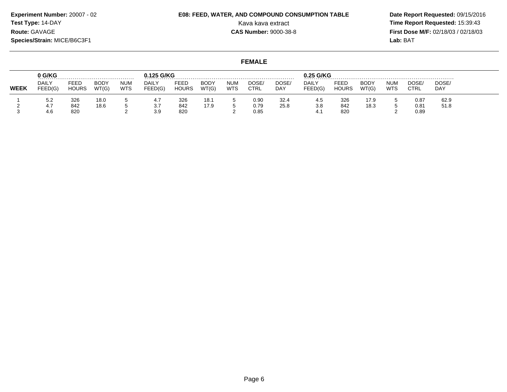# **E08: FEED, WATER, AND COMPOUND CONSUMPTION TABLE**

 **Date Report Requested:** 09/15/2016 Kava kava extract **Time Report Requested:** 15:39:43<br>**CAS Number:** 9000-38-8 **Time Report Requested:** 15:39:43 **First Dose M/F:** 02/18/03 / 02/18/03 Lab: BAT **Lab:** BAT

#### **FEMALE**

|             | 0 G/KG                      |                      | 0.125 G/KG<br>.      |                          |                  |                             |                      |                          | 0.25 G/KG     |              |                         |                      |                      |                   |               |              |
|-------------|-----------------------------|----------------------|----------------------|--------------------------|------------------|-----------------------------|----------------------|--------------------------|---------------|--------------|-------------------------|----------------------|----------------------|-------------------|---------------|--------------|
| <b>WEEK</b> | <b>DAILY</b><br>FEED(G)     | FEED<br><b>HOURS</b> | <b>BODY</b><br>WT(G) | <b>NUM</b><br><b>WTS</b> | DAILY<br>FEED(G) | <b>FEED</b><br><b>HOURS</b> | <b>BODY</b><br>WT(G) | <b>NUM</b><br><b>WTS</b> | DOSE/<br>CTRL | DOSE/<br>DAY | <b>DAILY</b><br>FEED(G) | FEED<br><b>HOURS</b> | <b>BODY</b><br>WT(G) | <b>NUM</b><br>WTS | DOSE/<br>CTRL | DOSE/<br>DAY |
|             | 5.2                         | 326                  | 18.0                 |                          | 4.,              | 326                         | 18.1                 |                          | 0.90          | 32.4         | 4.5                     | 326                  | 17.9                 |                   | 0.87          | 62.9         |
|             | $\overline{ }$<br>4.<br>4.6 | 842<br>820           | 18.6                 |                          | 3.7<br>3.9       | 842<br>820                  | 17.9                 |                          | 0.79<br>0.85  | 25.8         | 3.8                     | 842<br>820           | 18.3                 |                   | 0.81<br>0.89  | 51.8         |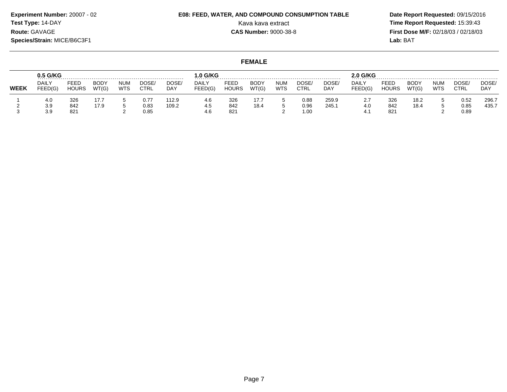# **E08: FEED, WATER, AND COMPOUND CONSUMPTION TABLE**

 **Date Report Requested:** 09/15/2016 Kava kava extract **Time Report Requested:** 15:39:43<br>**CAS Number:** 9000-38-8 **Time Report Requested:** 15:39:43 **First Dose M/F:** 02/18/03 / 02/18/03 Lab: BAT **Lab:** BAT

#### **FEMALE**

|             | 0.5 G/KG          |                      |                      |                          |                      | .                   | $.0$ G/KG               |                      |                      |                   |                      |                | 2.0 G/KG                      |                      |                      |                   |                            |                |
|-------------|-------------------|----------------------|----------------------|--------------------------|----------------------|---------------------|-------------------------|----------------------|----------------------|-------------------|----------------------|----------------|-------------------------------|----------------------|----------------------|-------------------|----------------------------|----------------|
| <b>WEEK</b> | DAILY<br>FEED(G)  | FEED<br><b>HOURS</b> | <b>BODY</b><br>WT(G) | <b>NUM</b><br><b>WTS</b> | DOSE/<br><b>CTRL</b> | DOSE/<br><b>DAY</b> | <b>DAILY</b><br>FEED(G) | FEED<br><b>HOURS</b> | <b>BODY</b><br>WT(G) | num<br><b>WTS</b> | DOSE<br><b>CTRL</b>  | DOSE/<br>DAY   | DAILY<br>FEED(G)              | FEED<br><b>HOURS</b> | <b>BODY</b><br>WT(G) | NUM<br><b>WTS</b> | <b>DOSE</b><br><b>CTRL</b> | DOSE/<br>DAY   |
|             | 4.0<br>3.9<br>3.9 | 326<br>842<br>821    | 17.9                 |                          | 0.77<br>0.83<br>0.85 | 12.9<br>109.2       | 4.6<br>4.5<br>4.6       | 326<br>842<br>821    | 17.7<br>18.4         |                   | 0.88<br>0.96<br>1.00 | 259.9<br>245.1 | 2.7<br>4 <sub>c</sub><br>4. . | 326<br>842<br>821    | 18.2<br>18.4         |                   | 0.52<br>0.85<br>0.89       | 296.7<br>435.7 |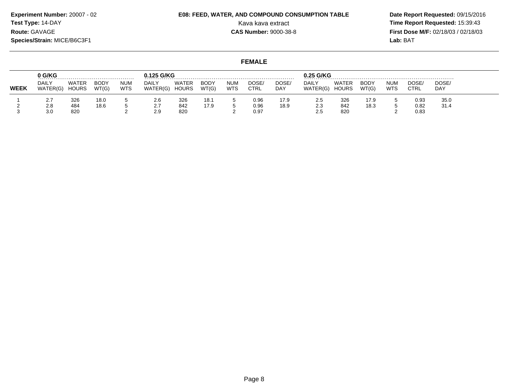# **E08: FEED, WATER, AND COMPOUND CONSUMPTION TABLE**

 **Date Report Requested:** 09/15/2016 Kava kava extract **Time Report Requested:** 15:39:43<br>**CAS Number:** 9000-38-8 **Time Report Requested:** 15:39:43 **First Dose M/F:** 02/18/03 / 02/18/03 Lab: BAT

**FEMALE**

|             | 0 G/KG            |                       |                      |                          | 0.125 G/KG               |                              |                      |                   |                      | .            | $0.25$ G/KG       |                |               |                          |               |              |
|-------------|-------------------|-----------------------|----------------------|--------------------------|--------------------------|------------------------------|----------------------|-------------------|----------------------|--------------|-------------------|----------------|---------------|--------------------------|---------------|--------------|
| <b>WEEK</b> | DAILY<br>WATER(G) | WATER<br><b>HOURS</b> | <b>BODY</b><br>WT(G) | <b>NUM</b><br><b>WTS</b> | <b>DAILY</b><br>WATER(G) | <b>WATER</b><br><b>HOURS</b> | <b>BODY</b><br>WT(G) | NUM<br><b>WTS</b> | DOSE.<br><b>CTRL</b> | DOSE/<br>DAY | DAILY<br>WATER(G) | WATER<br>HOURS | BODY<br>WT(G) | <b>NUM</b><br><b>WTS</b> | DOSE,<br>CTRL | DOSE/<br>DAY |
|             | $\epsilon$ .      | 326                   | 18.0                 |                          | 2.6                      | 326                          | 18.1                 |                   | 0.96                 | 17.9         | 2.5               | 326            | 17.9          |                          | 0.93          | 35.0         |
|             | 2.8<br>3.0        | 484<br>820            | 18.6                 |                          | $\sim$ $\sim$<br>2.9     | 842<br>820                   | 17.9                 |                   | 0.96<br>0.97         | 18.9         | 2.3<br>د.ء        | 842<br>820     | 18.3          |                          | 0.82<br>0.83  | 31.4         |